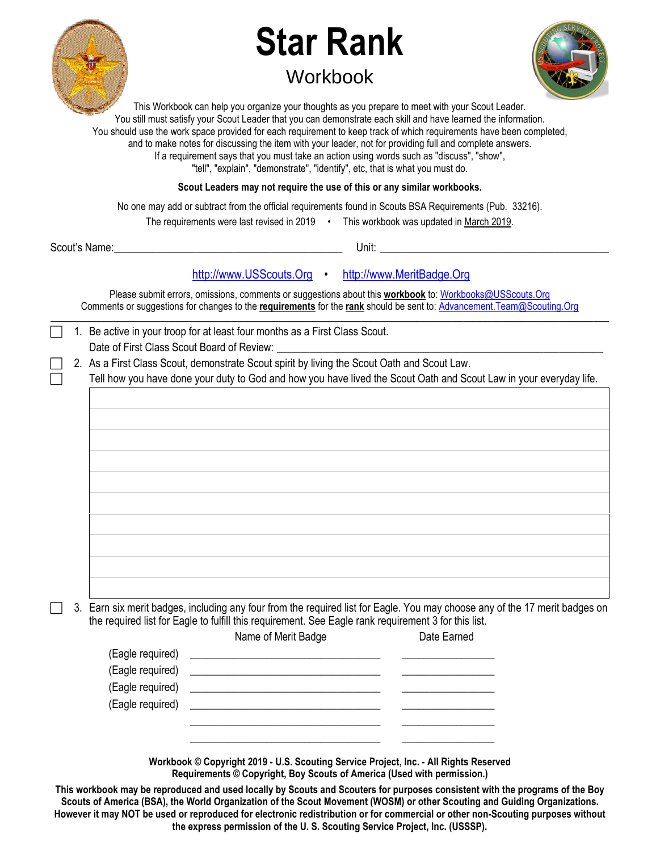

## **Star Rank Workbook**



This Workbook can help you organize your thoughts as you prepare to meet with your Scout Leader. You still must satisfy your Scout Leader that you can demonstrate each skill and have learned the information. You should use the work space provided for each requirement to keep track of which requirements have been completed, and to make notes for discussing the item with your leader, not for providing full and complete answers. If a requirement says that you must take an action using words such as "discuss", "show", "tell", "explain", "demonstrate", "identify", etc, that is what you must do.

**Scout Leaders may not require the use of this or any similar workbooks.**

No one may add or subtract from the official requirements found in Scouts BSA Requirements (Pub. 33216).

The requirements were last revised in 2019 • This workbook was updated in March 2019.

Scout's Name: \_\_\_\_\_\_\_\_\_\_\_\_\_\_\_\_\_\_\_\_\_\_\_\_\_\_\_\_\_\_\_\_\_\_\_\_\_\_\_\_\_\_ Unit: \_\_\_\_\_\_\_\_\_\_\_\_\_\_\_\_\_\_\_\_\_\_\_\_\_\_\_\_\_\_\_\_\_\_\_\_\_\_\_\_\_\_

## [http://www.USScouts.Org](http://www.usscouts.org/) • [http://www.MeritBadge.Org](http://www.meritbadge.org/)

Please submit errors, omissions, comments or suggestions about this **workbook** to[: Workbooks@USScouts.Org](mailto:Workbooks@usscouts.org?subject=Merit%20Badge%20Workbooks) Comments or suggestions for changes to the **requirements** for the **rank** should be sent to: [Advancement.Team@Scouting.Org](mailto:Advancement.Team@Scouting.Org) *\_\_\_\_\_\_\_\_\_\_\_\_\_\_\_\_\_\_\_\_\_\_\_\_\_\_\_\_\_\_\_\_\_\_\_\_\_\_\_\_\_\_\_\_\_\_\_\_\_\_\_\_\_\_\_\_\_\_\_\_\_\_\_\_\_\_\_\_\_\_\_\_\_\_\_\_\_\_\_\_\_\_\_\_\_\_\_\_\_\_\_\_\_\_\_\_\_\_\_\_\_\_\_\_\_\_\_\_\_\_\_\_\_\_\_\_\_\_\_\_\_\_\_\_\_\_\_\_\_\_\_\_\_\_\_\_\_\_\_\_\_\_* 

|  | 1. Be active in your troop for at least four months as a First Class Scout. |
|--|-----------------------------------------------------------------------------|
|  | Date of First Class Scout Board of Review:                                  |

2. As a First Class Scout, demonstrate Scout spirit by living the Scout Oath and Scout Law.

Tell how you have done your duty to God and how you have lived the Scout Oath and Scout Law in your everyday life.

 3. Earn six merit badges, including any four from the required list for Eagle. You may choose any of the 17 merit badges on the required list for Eagle to fulfill this requirement. See Eagle rank requirement 3 for this list.

|                                      | Name of Merit Badge                                          | Date Earned |
|--------------------------------------|--------------------------------------------------------------|-------------|
|                                      | (Eagle required) <u>_____________________________</u> ______ |             |
| (Eagle required)<br>(Eagle required) |                                                              |             |
|                                      |                                                              |             |
|                                      |                                                              |             |
|                                      |                                                              |             |

**Workbook © Copyright 2019 - U.S. Scouting Service Project, Inc. - All Rights Reserved Requirements © Copyright, Boy Scouts of America (Used with permission.)** 

**This workbook may be reproduced and used locally by Scouts and Scouters for purposes consistent with the programs of the Boy Scouts of America (BSA), the World Organization of the Scout Movement (WOSM) or other Scouting and Guiding Organizations. However it may NOT be used or reproduced for electronic redistribution or for commercial or other non-Scouting purposes without the express permission of the U. S. Scouting Service Project, Inc. (USSSP).**